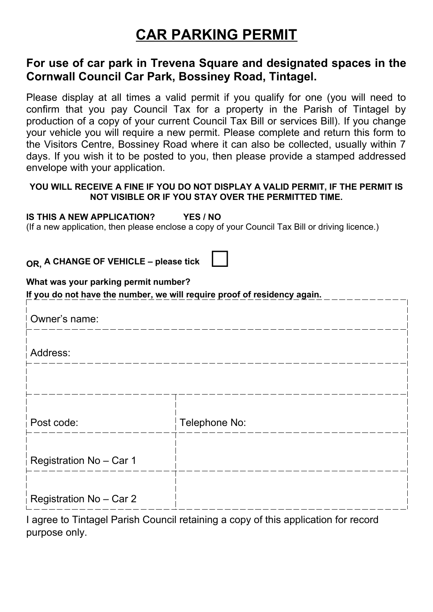## **CAR PARKING PERMIT**

## **For use of car park in Trevena Square and designated spaces in the Cornwall Council Car Park, Bossiney Road, Tintagel.**

Please display at all times a valid permit if you qualify for one (you will need to confirm that you pay Council Tax for a property in the Parish of Tintagel by production of a copy of your current Council Tax Bill or services Bill). If you change your vehicle you will require a new permit. Please complete and return this form to the Visitors Centre, Bossiney Road where it can also be collected, usually within 7 days. If you wish it to be posted to you, then please provide a stamped addressed envelope with your application.

## **YOU WILL RECEIVE A FINE IF YOU DO NOT DISPLAY A VALID PERMIT, IF THE PERMIT IS NOT VISIBLE OR IF YOU STAY OVER THE PERMITTED TIME.**

## **IS THIS A NEW APPLICATION? YES / NO**

(If a new application, then please enclose a copy of your Council Tax Bill or driving licence.)

**OR, A CHANGE OF VEHICLE – please tick** 

|  |  |  |  | What was your parking permit number? |
|--|--|--|--|--------------------------------------|
|--|--|--|--|--------------------------------------|

**If you do not have the number, we will require proof of residency again.**

| Owner's name:           |               |
|-------------------------|---------------|
| Address:                |               |
|                         |               |
| Post code:              | Telephone No: |
| Registration No - Car 1 |               |
| Registration No - Car 2 |               |

I agree to Tintagel Parish Council retaining a copy of this application for record purpose only.